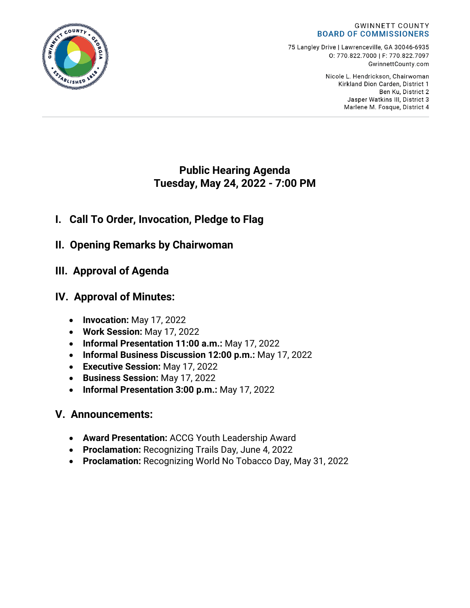#### **GWINNETT COUNTY BOARD OF COMMISSIONERS**

75 Langley Drive | Lawrenceville, GA 30046-6935 0:770.822.7000 | F: 770.822.7097 GwinnettCounty.com

> Nicole L. Hendrickson, Chairwoman Kirkland Dion Carden, District 1 Ben Ku. District 2 Jasper Watkins III, District 3 Marlene M. Fosque, District 4

## **Public Hearing Agenda Tuesday, May 24, 2022 - 7:00 PM**

# **I. Call To Order, Invocation, Pledge to Flag**

- **II. Opening Remarks by Chairwoman**
- **III. Approval of Agenda**

# **IV. Approval of Minutes:**

- **Invocation:** May 17, 2022
- **Work Session:** May 17, 2022
- **Informal Presentation 11:00 a.m.:** May 17, 2022
- **Informal Business Discussion 12:00 p.m.:** May 17, 2022
- **Executive Session:** May 17, 2022
- **Business Session:** May 17, 2022
- **Informal Presentation 3:00 p.m.:** May 17, 2022

## **V. Announcements:**

- **Award Presentation:** ACCG Youth Leadership Award
- **Proclamation:** Recognizing Trails Day, June 4, 2022
- **Proclamation:** Recognizing World No Tobacco Day, May 31, 2022

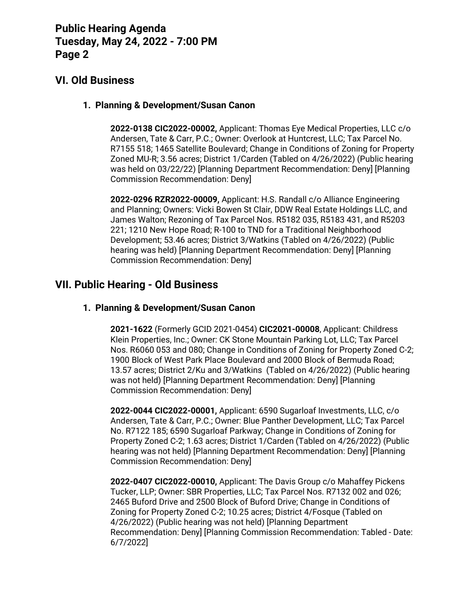## **VI. Old Business**

#### **1. Planning & Development/Susan Canon**

**2022-0138 CIC2022-00002,** Applicant: Thomas Eye Medical Properties, LLC c/o Andersen, Tate & Carr, P.C.; Owner: Overlook at Huntcrest, LLC; Tax Parcel No. R7155 518; 1465 Satellite Boulevard; Change in Conditions of Zoning for Property Zoned MU-R; 3.56 acres; District 1/Carden (Tabled on 4/26/2022) (Public hearing was held on 03/22/22) [Planning Department Recommendation: Deny] [Planning Commission Recommendation: Deny]

**2022-0296 RZR2022-00009,** Applicant: H.S. Randall c/o Alliance Engineering and Planning; Owners: Vicki Bowen St Clair, DDW Real Estate Holdings LLC, and James Walton; Rezoning of Tax Parcel Nos. R5182 035, R5183 431, and R5203 221; 1210 New Hope Road; R-100 to TND for a Traditional Neighborhood Development; 53.46 acres; District 3/Watkins (Tabled on 4/26/2022) (Public hearing was held) [Planning Department Recommendation: Deny] [Planning Commission Recommendation: Deny]

## **VII. Public Hearing - Old Business**

#### **1. Planning & Development/Susan Canon**

**2021-1622** (Formerly GCID 2021-0454) **CIC2021-00008**, Applicant: Childress Klein Properties, Inc.; Owner: CK Stone Mountain Parking Lot, LLC; Tax Parcel Nos. R6060 053 and 080; Change in Conditions of Zoning for Property Zoned C-2; 1900 Block of West Park Place Boulevard and 2000 Block of Bermuda Road; 13.57 acres; District 2/Ku and 3/Watkins (Tabled on 4/26/2022) (Public hearing was not held) [Planning Department Recommendation: Deny] [Planning Commission Recommendation: Deny]

**2022-0044 CIC2022-00001,** Applicant: 6590 Sugarloaf Investments, LLC, c/o Andersen, Tate & Carr, P.C.; Owner: Blue Panther Development, LLC; Tax Parcel No. R7122 185; 6590 Sugarloaf Parkway; Change in Conditions of Zoning for Property Zoned C-2; 1.63 acres; District 1/Carden (Tabled on 4/26/2022) (Public hearing was not held) [Planning Department Recommendation: Deny] [Planning Commission Recommendation: Deny]

**2022-0407 CIC2022-00010,** Applicant: The Davis Group c/o Mahaffey Pickens Tucker, LLP; Owner: SBR Properties, LLC; Tax Parcel Nos. R7132 002 and 026; 2465 Buford Drive and 2500 Block of Buford Drive; Change in Conditions of Zoning for Property Zoned C-2; 10.25 acres; District 4/Fosque (Tabled on 4/26/2022) (Public hearing was not held) [Planning Department Recommendation: Deny] [Planning Commission Recommendation: Tabled - Date: 6/7/2022]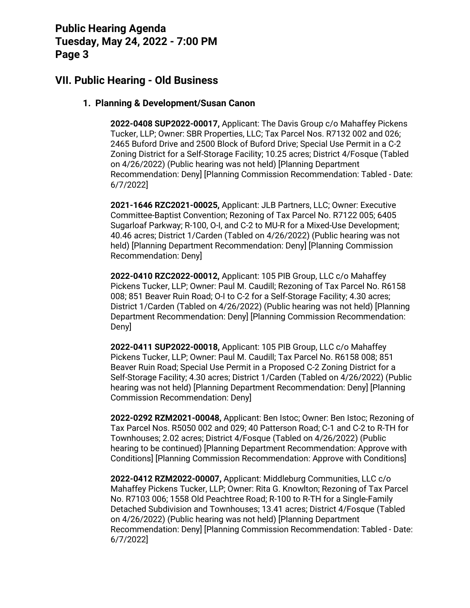### **VII. Public Hearing - Old Business**

#### **1. Planning & Development/Susan Canon**

**2022-0408 SUP2022-00017,** Applicant: The Davis Group c/o Mahaffey Pickens Tucker, LLP; Owner: SBR Properties, LLC; Tax Parcel Nos. R7132 002 and 026; 2465 Buford Drive and 2500 Block of Buford Drive; Special Use Permit in a C-2 Zoning District for a Self-Storage Facility; 10.25 acres; District 4/Fosque (Tabled on 4/26/2022) (Public hearing was not held) [Planning Department Recommendation: Deny] [Planning Commission Recommendation: Tabled - Date: 6/7/2022]

**2021-1646 RZC2021-00025,** Applicant: JLB Partners, LLC; Owner: Executive Committee-Baptist Convention; Rezoning of Tax Parcel No. R7122 005; 6405 Sugarloaf Parkway; R-100, O-I, and C-2 to MU-R for a Mixed-Use Development; 40.46 acres; District 1/Carden (Tabled on 4/26/2022) (Public hearing was not held) [Planning Department Recommendation: Deny] [Planning Commission Recommendation: Deny]

**2022-0410 RZC2022-00012,** Applicant: 105 PIB Group, LLC c/o Mahaffey Pickens Tucker, LLP; Owner: Paul M. Caudill; Rezoning of Tax Parcel No. R6158 008; 851 Beaver Ruin Road; O-I to C-2 for a Self-Storage Facility; 4.30 acres; District 1/Carden (Tabled on 4/26/2022) (Public hearing was not held) [Planning Department Recommendation: Deny] [Planning Commission Recommendation: Deny]

**2022-0411 SUP2022-00018,** Applicant: 105 PIB Group, LLC c/o Mahaffey Pickens Tucker, LLP; Owner: Paul M. Caudill; Tax Parcel No. R6158 008; 851 Beaver Ruin Road; Special Use Permit in a Proposed C-2 Zoning District for a Self-Storage Facility; 4.30 acres; District 1/Carden (Tabled on 4/26/2022) (Public hearing was not held) [Planning Department Recommendation: Deny] [Planning Commission Recommendation: Deny]

**2022-0292 RZM2021-00048,** Applicant: Ben Istoc; Owner: Ben Istoc; Rezoning of Tax Parcel Nos. R5050 002 and 029; 40 Patterson Road; C-1 and C-2 to R-TH for Townhouses; 2.02 acres; District 4/Fosque (Tabled on 4/26/2022) (Public hearing to be continued) [Planning Department Recommendation: Approve with Conditions] [Planning Commission Recommendation: Approve with Conditions]

**2022-0412 RZM2022-00007,** Applicant: Middleburg Communities, LLC c/o Mahaffey Pickens Tucker, LLP; Owner: Rita G. Knowlton; Rezoning of Tax Parcel No. R7103 006; 1558 Old Peachtree Road; R-100 to R-TH for a Single-Family Detached Subdivision and Townhouses; 13.41 acres; District 4/Fosque (Tabled on 4/26/2022) (Public hearing was not held) [Planning Department Recommendation: Deny] [Planning Commission Recommendation: Tabled - Date: 6/7/2022]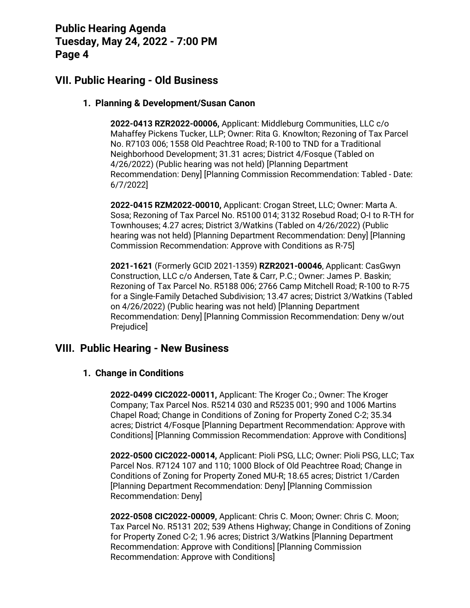### **VII. Public Hearing - Old Business**

#### **1. Planning & Development/Susan Canon**

**2022-0413 RZR2022-00006,** Applicant: Middleburg Communities, LLC c/o Mahaffey Pickens Tucker, LLP; Owner: Rita G. Knowlton; Rezoning of Tax Parcel No. R7103 006; 1558 Old Peachtree Road; R-100 to TND for a Traditional Neighborhood Development; 31.31 acres; District 4/Fosque (Tabled on 4/26/2022) (Public hearing was not held) [Planning Department Recommendation: Deny] [Planning Commission Recommendation: Tabled - Date: 6/7/2022]

**2022-0415 RZM2022-00010,** Applicant: Crogan Street, LLC; Owner: Marta A. Sosa; Rezoning of Tax Parcel No. R5100 014; 3132 Rosebud Road; O-I to R-TH for Townhouses; 4.27 acres; District 3/Watkins (Tabled on 4/26/2022) (Public hearing was not held) [Planning Department Recommendation: Deny] [Planning Commission Recommendation: Approve with Conditions as R-75]

**2021-1621** (Formerly GCID 2021-1359) **RZR2021-00046**, Applicant: CasGwyn Construction, LLC c/o Andersen, Tate & Carr, P.C.; Owner: James P. Baskin; Rezoning of Tax Parcel No. R5188 006; 2766 Camp Mitchell Road; R-100 to R-75 for a Single-Family Detached Subdivision; 13.47 acres; District 3/Watkins (Tabled on 4/26/2022) (Public hearing was not held) [Planning Department Recommendation: Deny] [Planning Commission Recommendation: Deny w/out Prejudice]

### **VIII. Public Hearing - New Business**

#### **1. Change in Conditions**

**2022-0499 CIC2022-00011,** Applicant: The Kroger Co.; Owner: The Kroger Company; Tax Parcel Nos. R5214 030 and R5235 001; 990 and 1006 Martins Chapel Road; Change in Conditions of Zoning for Property Zoned C-2; 35.34 acres; District 4/Fosque [Planning Department Recommendation: Approve with Conditions] [Planning Commission Recommendation: Approve with Conditions]

**2022-0500 CIC2022-00014,** Applicant: Pioli PSG, LLC; Owner: Pioli PSG, LLC; Tax Parcel Nos. R7124 107 and 110; 1000 Block of Old Peachtree Road; Change in Conditions of Zoning for Property Zoned MU-R; 18.65 acres; District 1/Carden [Planning Department Recommendation: Deny] [Planning Commission Recommendation: Deny]

**2022-0508 CIC2022-00009,** Applicant: Chris C. Moon; Owner: Chris C. Moon; Tax Parcel No. R5131 202; 539 Athens Highway; Change in Conditions of Zoning for Property Zoned C-2; 1.96 acres; District 3/Watkins [Planning Department Recommendation: Approve with Conditions] [Planning Commission Recommendation: Approve with Conditions]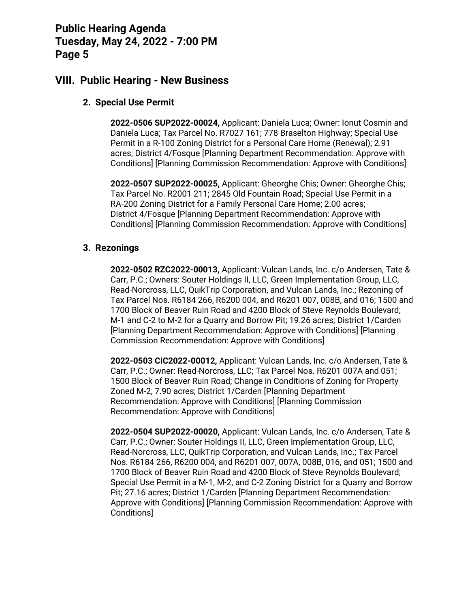### **VIII. Public Hearing - New Business**

#### **2. Special Use Permit**

**2022-0506 SUP2022-00024,** Applicant: Daniela Luca; Owner: Ionut Cosmin and Daniela Luca; Tax Parcel No. R7027 161; 778 Braselton Highway; Special Use Permit in a R-100 Zoning District for a Personal Care Home (Renewal); 2.91 acres; District 4/Fosque [Planning Department Recommendation: Approve with Conditions] [Planning Commission Recommendation: Approve with Conditions]

**2022-0507 SUP2022-00025,** Applicant: Gheorghe Chis; Owner: Gheorghe Chis; Tax Parcel No. R2001 211; 2845 Old Fountain Road; Special Use Permit in a RA-200 Zoning District for a Family Personal Care Home; 2.00 acres; District 4/Fosque [Planning Department Recommendation: Approve with Conditions] [Planning Commission Recommendation: Approve with Conditions]

#### **3. Rezonings**

**2022-0502 RZC2022-00013,** Applicant: Vulcan Lands, Inc. c/o Andersen, Tate & Carr, P.C.; Owners: Souter Holdings II, LLC, Green Implementation Group, LLC, Read-Norcross, LLC, QuikTrip Corporation, and Vulcan Lands, Inc.; Rezoning of Tax Parcel Nos. R6184 266, R6200 004, and R6201 007, 008B, and 016; 1500 and 1700 Block of Beaver Ruin Road and 4200 Block of Steve Reynolds Boulevard; M-1 and C-2 to M-2 for a Quarry and Borrow Pit; 19.26 acres; District 1/Carden [Planning Department Recommendation: Approve with Conditions] [Planning Commission Recommendation: Approve with Conditions]

**2022-0503 CIC2022-00012,** Applicant: Vulcan Lands, Inc. c/o Andersen, Tate & Carr, P.C.; Owner: Read-Norcross, LLC; Tax Parcel Nos. R6201 007A and 051; 1500 Block of Beaver Ruin Road; Change in Conditions of Zoning for Property Zoned M-2; 7.90 acres; District 1/Carden [Planning Department Recommendation: Approve with Conditions] [Planning Commission Recommendation: Approve with Conditions]

**2022-0504 SUP2022-00020,** Applicant: Vulcan Lands, Inc. c/o Andersen, Tate & Carr, P.C.; Owner: Souter Holdings II, LLC, Green Implementation Group, LLC, Read-Norcross, LLC, QuikTrip Corporation, and Vulcan Lands, Inc.; Tax Parcel Nos. R6184 266, R6200 004, and R6201 007, 007A, 008B, 016, and 051; 1500 and 1700 Block of Beaver Ruin Road and 4200 Block of Steve Reynolds Boulevard; Special Use Permit in a M-1, M-2, and C-2 Zoning District for a Quarry and Borrow Pit; 27.16 acres; District 1/Carden [Planning Department Recommendation: Approve with Conditions] [Planning Commission Recommendation: Approve with Conditions]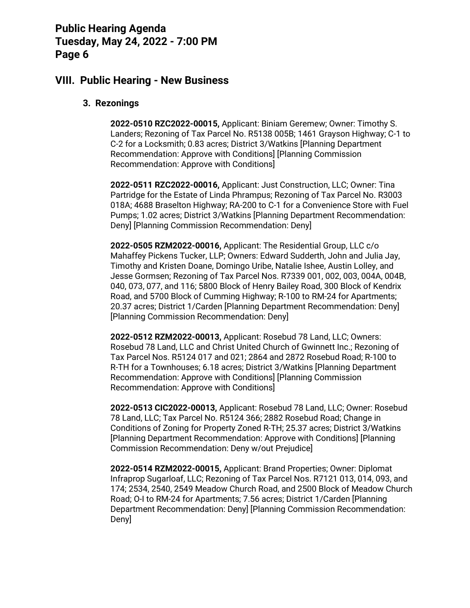### **VIII. Public Hearing - New Business**

#### **3. Rezonings**

**2022-0510 RZC2022-00015,** Applicant: Biniam Geremew; Owner: Timothy S. Landers; Rezoning of Tax Parcel No. R5138 005B; 1461 Grayson Highway; C-1 to C-2 for a Locksmith; 0.83 acres; District 3/Watkins [Planning Department Recommendation: Approve with Conditions] [Planning Commission Recommendation: Approve with Conditions]

**2022-0511 RZC2022-00016,** Applicant: Just Construction, LLC; Owner: Tina Partridge for the Estate of Linda Phrampus; Rezoning of Tax Parcel No. R3003 018A; 4688 Braselton Highway; RA-200 to C-1 for a Convenience Store with Fuel Pumps; 1.02 acres; District 3/Watkins [Planning Department Recommendation: Deny] [Planning Commission Recommendation: Deny]

**2022-0505 RZM2022-00016,** Applicant: The Residential Group, LLC c/o Mahaffey Pickens Tucker, LLP; Owners: Edward Sudderth, John and Julia Jay, Timothy and Kristen Doane, Domingo Uribe, Natalie Ishee, Austin Lolley, and Jesse Gormsen; Rezoning of Tax Parcel Nos. R7339 001, 002, 003, 004A, 004B, 040, 073, 077, and 116; 5800 Block of Henry Bailey Road, 300 Block of Kendrix Road, and 5700 Block of Cumming Highway; R-100 to RM-24 for Apartments; 20.37 acres; District 1/Carden [Planning Department Recommendation: Deny] [Planning Commission Recommendation: Deny]

**2022-0512 RZM2022-00013,** Applicant: Rosebud 78 Land, LLC; Owners: Rosebud 78 Land, LLC and Christ United Church of Gwinnett Inc.; Rezoning of Tax Parcel Nos. R5124 017 and 021; 2864 and 2872 Rosebud Road; R-100 to R-TH for a Townhouses; 6.18 acres; District 3/Watkins [Planning Department Recommendation: Approve with Conditions] [Planning Commission Recommendation: Approve with Conditions]

**2022-0513 CIC2022-00013,** Applicant: Rosebud 78 Land, LLC; Owner: Rosebud 78 Land, LLC; Tax Parcel No. R5124 366; 2882 Rosebud Road; Change in Conditions of Zoning for Property Zoned R-TH; 25.37 acres; District 3/Watkins [Planning Department Recommendation: Approve with Conditions] [Planning Commission Recommendation: Deny w/out Prejudice]

**2022-0514 RZM2022-00015,** Applicant: Brand Properties; Owner: Diplomat Infraprop Sugarloaf, LLC; Rezoning of Tax Parcel Nos. R7121 013, 014, 093, and 174; 2534, 2540, 2549 Meadow Church Road, and 2500 Block of Meadow Church Road; O-I to RM-24 for Apartments; 7.56 acres; District 1/Carden [Planning Department Recommendation: Deny] [Planning Commission Recommendation: Deny]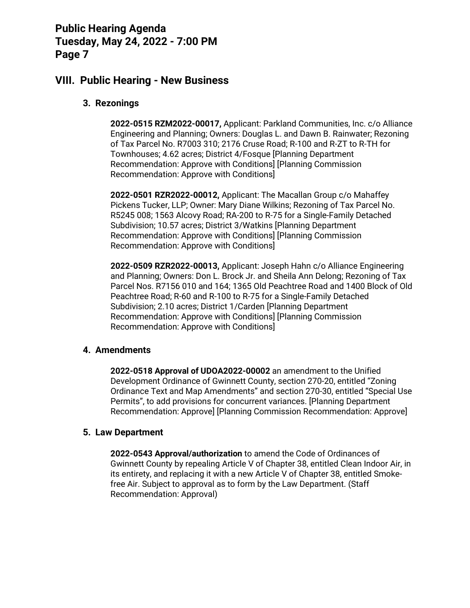### **VIII. Public Hearing - New Business**

#### **3. Rezonings**

**2022-0515 RZM2022-00017,** Applicant: Parkland Communities, Inc. c/o Alliance Engineering and Planning; Owners: Douglas L. and Dawn B. Rainwater; Rezoning of Tax Parcel No. R7003 310; 2176 Cruse Road; R-100 and R-ZT to R-TH for Townhouses; 4.62 acres; District 4/Fosque [Planning Department Recommendation: Approve with Conditions] [Planning Commission Recommendation: Approve with Conditions]

**2022-0501 RZR2022-00012,** Applicant: The Macallan Group c/o Mahaffey Pickens Tucker, LLP; Owner: Mary Diane Wilkins; Rezoning of Tax Parcel No. R5245 008; 1563 Alcovy Road; RA-200 to R-75 for a Single-Family Detached Subdivision; 10.57 acres; District 3/Watkins [Planning Department Recommendation: Approve with Conditions] [Planning Commission Recommendation: Approve with Conditions]

**2022-0509 RZR2022-00013,** Applicant: Joseph Hahn c/o Alliance Engineering and Planning; Owners: Don L. Brock Jr. and Sheila Ann Delong; Rezoning of Tax Parcel Nos. R7156 010 and 164; 1365 Old Peachtree Road and 1400 Block of Old Peachtree Road; R-60 and R-100 to R-75 for a Single-Family Detached Subdivision; 2.10 acres; District 1/Carden [Planning Department Recommendation: Approve with Conditions] [Planning Commission Recommendation: Approve with Conditions]

#### **4. Amendments**

**2022-0518 Approval of UDOA2022-00002** an amendment to the Unified Development Ordinance of Gwinnett County, section 270-20, entitled "Zoning Ordinance Text and Map Amendments" and section 270-30, entitled "Special Use Permits", to add provisions for concurrent variances. [Planning Department Recommendation: Approve] [Planning Commission Recommendation: Approve]

#### **5. Law Department**

**2022-0543 Approval/authorization** to amend the Code of Ordinances of Gwinnett County by repealing Article V of Chapter 38, entitled Clean Indoor Air, in its entirety, and replacing it with a new Article V of Chapter 38, entitled Smokefree Air. Subject to approval as to form by the Law Department. (Staff Recommendation: Approval)